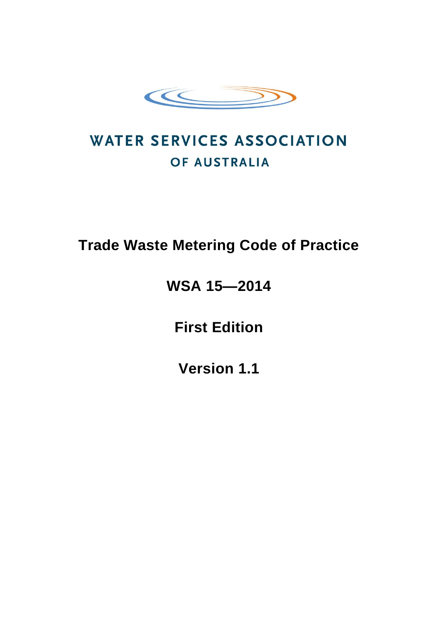

# **WATER SERVICES ASSOCIATION** OF AUSTRALIA

## **Trade Waste Metering Code of Practice**

## **WSA 15—2014**

**First Edition**

**Version 1.1**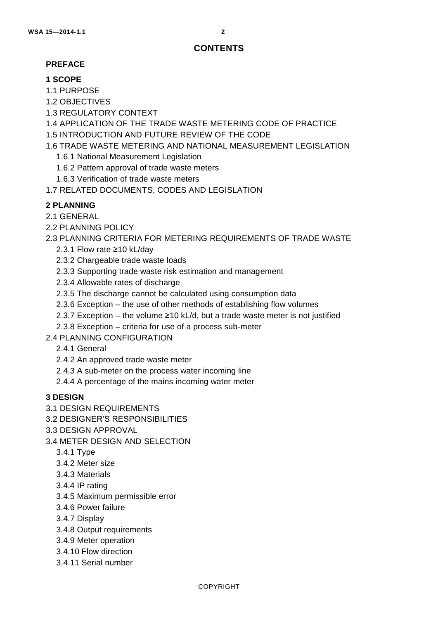## **CONTENTS**

### **PREFACE**

## **1 SCOPE**

- 1.1 PURPOSE
- 1.2 OBJECTIVES
- 1.3 REGULATORY CONTEXT
- 1.4 APPLICATION OF THE TRADE WASTE METERING CODE OF PRACTICE
- 1.5 INTRODUCTION AND FUTURE REVIEW OF THE CODE
- 1.6 TRADE WASTE METERING AND NATIONAL MEASUREMENT LEGISLATION
	- 1.6.1 National Measurement Legislation
	- 1.6.2 Pattern approval of trade waste meters
	- 1.6.3 Verification of trade waste meters
- 1.7 RELATED DOCUMENTS, CODES AND LEGISLATION

## **2 PLANNING**

- 2.1 GENERAL
- 2.2 PLANNING POLICY

## 2.3 PLANNING CRITERIA FOR METERING REQUIREMENTS OF TRADE WASTE

- 2.3.1 Flow rate ≥10 kL/day
- 2.3.2 Chargeable trade waste loads
- 2.3.3 Supporting trade waste risk estimation and management
- 2.3.4 Allowable rates of discharge
- 2.3.5 The discharge cannot be calculated using consumption data
- 2.3.6 Exception the use of other methods of establishing flow volumes
- 2.3.7 Exception the volume  $\geq 10$  kL/d, but a trade waste meter is not justified
- 2.3.8 Exception criteria for use of a process sub-meter
- 2.4 PLANNING CONFIGURATION
	- 2.4.1 General
	- 2.4.2 An approved trade waste meter
	- 2.4.3 A sub-meter on the process water incoming line
	- 2.4.4 A percentage of the mains incoming water meter

### **3 DESIGN**

- 3.1 DESIGN REQUIREMENTS
- 3.2 DESIGNER'S RESPONSIBILITIES
- 3.3 DESIGN APPROVAL
- 3.4 METER DESIGN AND SELECTION
	- 3.4.1 Type
	- 3.4.2 Meter size
	- 3.4.3 Materials
	- 3.4.4 IP rating
	- 3.4.5 Maximum permissible error
	- 3.4.6 Power failure
	- 3.4.7 Display
	- 3.4.8 Output requirements
	- 3.4.9 Meter operation
	- 3.4.10 Flow direction
	- 3.4.11 Serial number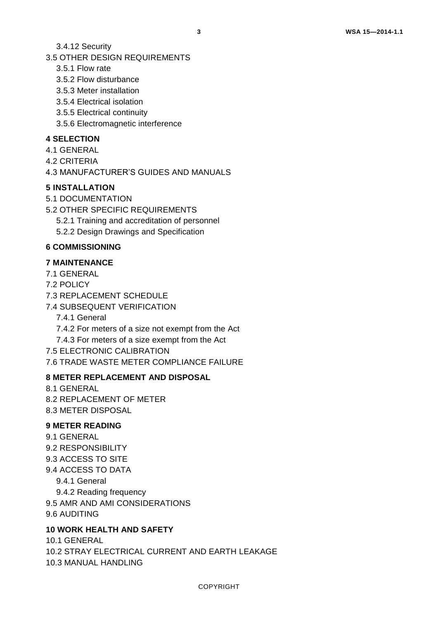3.4.12 Security

3.5 OTHER DESIGN REQUIREMENTS

- 3.5.1 Flow rate
- 3.5.2 Flow disturbance
- 3.5.3 Meter installation
- 3.5.4 Electrical isolation
- 3.5.5 Electrical continuity
- 3.5.6 Electromagnetic interference

#### **4 SELECTION**

- 4.1 GENERAL
- 4.2 CRITERIA

4.3 MANUFACTURER'S GUIDES AND MANUALS

#### **5 INSTALLATION**

- 5.1 DOCUMENTATION
- 5.2 OTHER SPECIFIC REQUIREMENTS
	- 5.2.1 Training and accreditation of personnel
	- 5.2.2 Design Drawings and Specification

#### **6 COMMISSIONING**

#### **7 MAINTENANCE**

- 7.1 GENERAL
- 7.2 POLICY
- 7.3 REPLACEMENT SCHEDULE
- 7.4 SUBSEQUENT VERIFICATION
	- 7.4.1 General
	- 7.4.2 For meters of a size not exempt from the Act
	- 7.4.3 For meters of a size exempt from the Act
- 7.5 ELECTRONIC CALIBRATION

7.6 TRADE WASTE METER COMPLIANCE FAILURE

#### **8 METER REPLACEMENT AND DISPOSAL**

- 8.1 GENERAL
- 8.2 REPLACEMENT OF METER
- 8.3 METER DISPOSAL

#### **9 METER READING**

9.1 GENERAL 9.2 RESPONSIBILITY 9.3 ACCESS TO SITE 9.4 ACCESS TO DATA 9.4.1 General 9.4.2 Reading frequency 9.5 AMR AND AMI CONSIDERATIONS 9.6 AUDITING

#### **10 WORK HEALTH AND SAFETY**

10.1 GENERAL 10.2 STRAY ELECTRICAL CURRENT AND EARTH LEAKAGE 10.3 MANUAL HANDLING